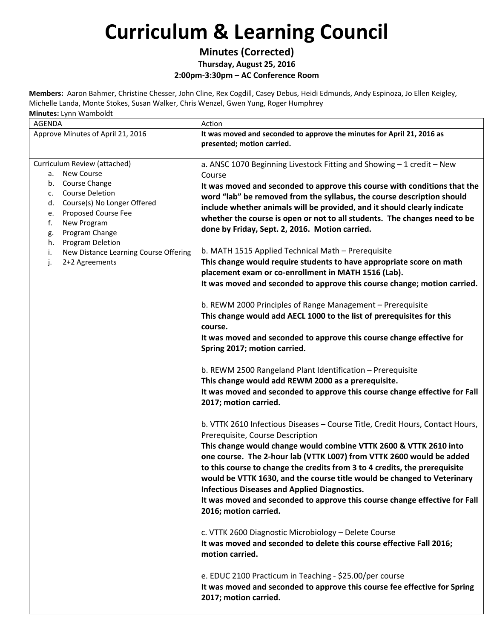#### **Minutes (Corrected) Thursday, August 25, 2016**

**2:00pm‐3:30pm – AC Conference Room**

**Members:** Aaron Bahmer, Christine Chesser, John Cline, Rex Cogdill, Casey Debus, Heidi Edmunds, Andy Espinoza, Jo Ellen Keigley, Michelle Landa, Monte Stokes, Susan Walker, Chris Wenzel, Gwen Yung, Roger Humphrey **Minutes:** Lynn Wamboldt

AGENDA Action Approve Minutes of April 21, 2016 **It was moved and seconded to approve the minutes for April 21, 2016 as presented; motion carried.** Curriculum Review (attached) a. New Course b. Course Change c. Course Deletion d. Course(s) No Longer Offered e. Proposed Course Fee f. New Program g. Program Change h. Program Deletion i. New Distance Learning Course Offering j. 2+2 Agreements a. ANSC 1070 Beginning Livestock Fitting and Showing – 1 credit – New Course **It was moved and seconded to approve this course with conditions that the word "lab" be removed from the syllabus, the course description should include whether animals will be provided, and it should clearly indicate whether the course is open or not to all students. The changes need to be done by Friday, Sept. 2, 2016. Motion carried.** b. MATH 1515 Applied Technical Math – Prerequisite **This change would require students to have appropriate score on math placement exam or co‐enrollment in MATH 1516 (Lab). It was moved and seconded to approve this course change; motion carried.** b. REWM 2000 Principles of Range Management – Prerequisite **This change would add AECL 1000 to the list of prerequisites for this course. It was moved and seconded to approve this course change effective for Spring 2017; motion carried.** b. REWM 2500 Rangeland Plant Identification – Prerequisite **This change would add REWM 2000 as a prerequisite. It was moved and seconded to approve this course change effective for Fall 2017; motion carried.** b. VTTK 2610 Infectious Diseases – Course Title, Credit Hours, Contact Hours, Prerequisite, Course Description **This change would change would combine VTTK 2600 & VTTK 2610 into one course. The 2‐hour lab (VTTK L007) from VTTK 2600 would be added to this course to change the credits from 3 to 4 credits, the prerequisite would be VTTK 1630, and the course title would be changed to Veterinary Infectious Diseases and Applied Diagnostics. It was moved and seconded to approve this course change effective for Fall 2016; motion carried.** c. VTTK 2600 Diagnostic Microbiology – Delete Course **It was moved and seconded to delete this course effective Fall 2016; motion carried.** e. EDUC 2100 Practicum in Teaching ‐ \$25.00/per course **It was moved and seconded to approve this course fee effective for Spring 2017; motion carried.**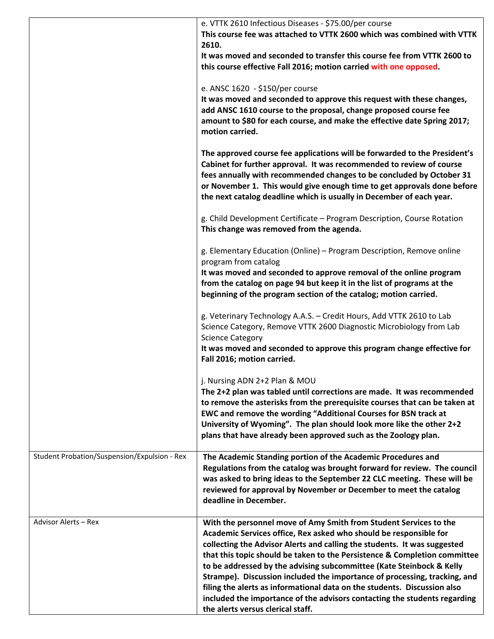|                                              | e. VTTK 2610 Infectious Diseases - \$75.00/per course<br>This course fee was attached to VTTK 2600 which was combined with VTTK<br>2610.                                                                                                                                                                                                                                                                                                                                                                                                                                                                                                           |
|----------------------------------------------|----------------------------------------------------------------------------------------------------------------------------------------------------------------------------------------------------------------------------------------------------------------------------------------------------------------------------------------------------------------------------------------------------------------------------------------------------------------------------------------------------------------------------------------------------------------------------------------------------------------------------------------------------|
|                                              | It was moved and seconded to transfer this course fee from VTTK 2600 to<br>this course effective Fall 2016; motion carried with one opposed.                                                                                                                                                                                                                                                                                                                                                                                                                                                                                                       |
|                                              | e. ANSC 1620 - \$150/per course                                                                                                                                                                                                                                                                                                                                                                                                                                                                                                                                                                                                                    |
|                                              | It was moved and seconded to approve this request with these changes,<br>add ANSC 1610 course to the proposal, change proposed course fee<br>amount to \$80 for each course, and make the effective date Spring 2017;<br>motion carried.                                                                                                                                                                                                                                                                                                                                                                                                           |
|                                              | The approved course fee applications will be forwarded to the President's<br>Cabinet for further approval. It was recommended to review of course<br>fees annually with recommended changes to be concluded by October 31<br>or November 1. This would give enough time to get approvals done before<br>the next catalog deadline which is usually in December of each year.                                                                                                                                                                                                                                                                       |
|                                              | g. Child Development Certificate - Program Description, Course Rotation<br>This change was removed from the agenda.                                                                                                                                                                                                                                                                                                                                                                                                                                                                                                                                |
|                                              | g. Elementary Education (Online) - Program Description, Remove online<br>program from catalog                                                                                                                                                                                                                                                                                                                                                                                                                                                                                                                                                      |
|                                              | It was moved and seconded to approve removal of the online program<br>from the catalog on page 94 but keep it in the list of programs at the<br>beginning of the program section of the catalog; motion carried.                                                                                                                                                                                                                                                                                                                                                                                                                                   |
|                                              | g. Veterinary Technology A.A.S. - Credit Hours, Add VTTK 2610 to Lab<br>Science Category, Remove VTTK 2600 Diagnostic Microbiology from Lab<br><b>Science Category</b><br>It was moved and seconded to approve this program change effective for<br>Fall 2016; motion carried.                                                                                                                                                                                                                                                                                                                                                                     |
|                                              |                                                                                                                                                                                                                                                                                                                                                                                                                                                                                                                                                                                                                                                    |
|                                              | j. Nursing ADN 2+2 Plan & MOU                                                                                                                                                                                                                                                                                                                                                                                                                                                                                                                                                                                                                      |
|                                              | The 2+2 plan was tabled until corrections are made. It was recommended<br>to remove the asterisks from the prerequisite courses that can be taken at<br>EWC and remove the wording "Additional Courses for BSN track at                                                                                                                                                                                                                                                                                                                                                                                                                            |
|                                              | University of Wyoming". The plan should look more like the other 2+2<br>plans that have already been approved such as the Zoology plan.                                                                                                                                                                                                                                                                                                                                                                                                                                                                                                            |
| Student Probation/Suspension/Expulsion - Rex | The Academic Standing portion of the Academic Procedures and<br>Regulations from the catalog was brought forward for review. The council<br>was asked to bring ideas to the September 22 CLC meeting. These will be<br>reviewed for approval by November or December to meet the catalog<br>deadline in December.                                                                                                                                                                                                                                                                                                                                  |
| Advisor Alerts - Rex                         | With the personnel move of Amy Smith from Student Services to the<br>Academic Services office, Rex asked who should be responsible for<br>collecting the Advisor Alerts and calling the students. It was suggested<br>that this topic should be taken to the Persistence & Completion committee<br>to be addressed by the advising subcommittee (Kate Steinbock & Kelly<br>Strampe). Discussion included the importance of processing, tracking, and<br>filing the alerts as informational data on the students. Discussion also<br>included the importance of the advisors contacting the students regarding<br>the alerts versus clerical staff. |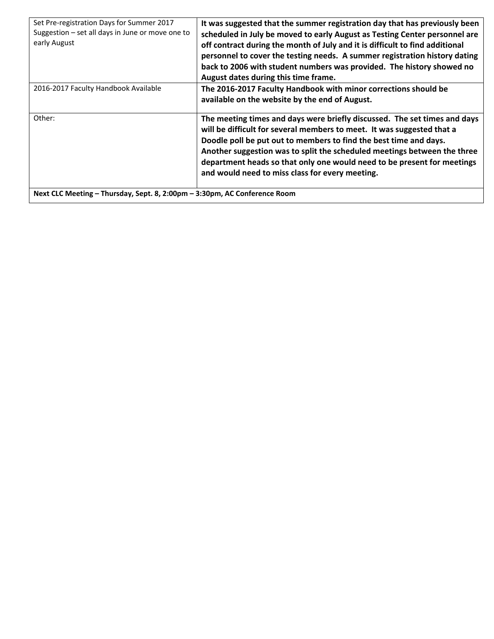| Set Pre-registration Days for Summer 2017<br>Suggestion - set all days in June or move one to<br>early August | It was suggested that the summer registration day that has previously been<br>scheduled in July be moved to early August as Testing Center personnel are<br>off contract during the month of July and it is difficult to find additional<br>personnel to cover the testing needs. A summer registration history dating<br>back to 2006 with student numbers was provided. The history showed no<br>August dates during this time frame. |
|---------------------------------------------------------------------------------------------------------------|-----------------------------------------------------------------------------------------------------------------------------------------------------------------------------------------------------------------------------------------------------------------------------------------------------------------------------------------------------------------------------------------------------------------------------------------|
| 2016-2017 Faculty Handbook Available                                                                          | The 2016-2017 Faculty Handbook with minor corrections should be<br>available on the website by the end of August.                                                                                                                                                                                                                                                                                                                       |
| Other:                                                                                                        | The meeting times and days were briefly discussed. The set times and days<br>will be difficult for several members to meet. It was suggested that a<br>Doodle poll be put out to members to find the best time and days.<br>Another suggestion was to split the scheduled meetings between the three<br>department heads so that only one would need to be present for meetings<br>and would need to miss class for every meeting.      |
| Next CLC Meeting - Thursday, Sept. 8, 2:00pm - 3:30pm, AC Conference Room                                     |                                                                                                                                                                                                                                                                                                                                                                                                                                         |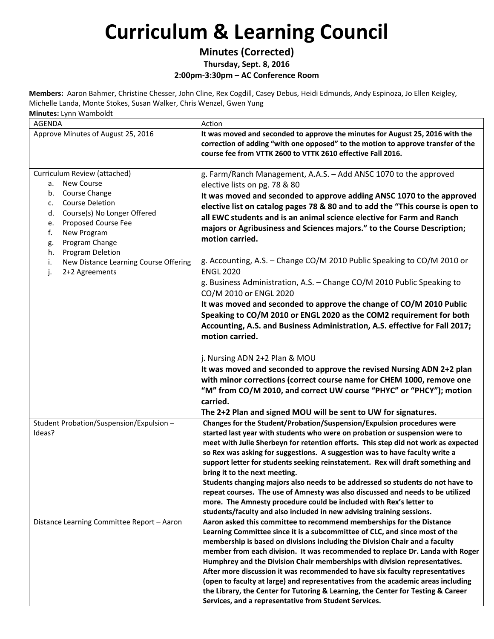#### **Minutes (Corrected) Thursday, Sept. 8, 2016**

**2:00pm‐3:30pm – AC Conference Room**

**Members:** Aaron Bahmer, Christine Chesser, John Cline, Rex Cogdill, Casey Debus, Heidi Edmunds, Andy Espinoza, Jo Ellen Keigley, Michelle Landa, Monte Stokes, Susan Walker, Chris Wenzel, Gwen Yung

**Minutes:** Lynn Wamboldt

| --- - ,                                                                                                                                                                                                                                                                                                                        |                                                                                                                                                                                                                                                                                                                                                                                                                                                                                                                                                                                                                                                                                                                                                                                                                                                                                                                       |
|--------------------------------------------------------------------------------------------------------------------------------------------------------------------------------------------------------------------------------------------------------------------------------------------------------------------------------|-----------------------------------------------------------------------------------------------------------------------------------------------------------------------------------------------------------------------------------------------------------------------------------------------------------------------------------------------------------------------------------------------------------------------------------------------------------------------------------------------------------------------------------------------------------------------------------------------------------------------------------------------------------------------------------------------------------------------------------------------------------------------------------------------------------------------------------------------------------------------------------------------------------------------|
| <b>AGENDA</b>                                                                                                                                                                                                                                                                                                                  | Action                                                                                                                                                                                                                                                                                                                                                                                                                                                                                                                                                                                                                                                                                                                                                                                                                                                                                                                |
| Approve Minutes of August 25, 2016                                                                                                                                                                                                                                                                                             | It was moved and seconded to approve the minutes for August 25, 2016 with the<br>correction of adding "with one opposed" to the motion to approve transfer of the<br>course fee from VTTK 2600 to VTTK 2610 effective Fall 2016.                                                                                                                                                                                                                                                                                                                                                                                                                                                                                                                                                                                                                                                                                      |
| Curriculum Review (attached)<br><b>New Course</b><br>а.<br>Course Change<br>b.<br><b>Course Deletion</b><br>c.<br>Course(s) No Longer Offered<br>d.<br>Proposed Course Fee<br>e.<br>New Program<br>f.<br>Program Change<br>g.<br>Program Deletion<br>h.<br>New Distance Learning Course Offering<br>i.<br>2+2 Agreements<br>j. | g. Farm/Ranch Management, A.A.S. - Add ANSC 1070 to the approved<br>elective lists on pg. 78 & 80<br>It was moved and seconded to approve adding ANSC 1070 to the approved<br>elective list on catalog pages 78 & 80 and to add the "This course is open to<br>all EWC students and is an animal science elective for Farm and Ranch<br>majors or Agribusiness and Sciences majors." to the Course Description;<br>motion carried.<br>g. Accounting, A.S. - Change CO/M 2010 Public Speaking to CO/M 2010 or<br><b>ENGL 2020</b><br>g. Business Administration, A.S. - Change CO/M 2010 Public Speaking to<br>CO/M 2010 or ENGL 2020<br>It was moved and seconded to approve the change of CO/M 2010 Public<br>Speaking to CO/M 2010 or ENGL 2020 as the COM2 requirement for both<br>Accounting, A.S. and Business Administration, A.S. effective for Fall 2017;<br>motion carried.<br>j. Nursing ADN 2+2 Plan & MOU |
|                                                                                                                                                                                                                                                                                                                                | It was moved and seconded to approve the revised Nursing ADN 2+2 plan<br>with minor corrections (correct course name for CHEM 1000, remove one<br>"M" from CO/M 2010, and correct UW course "PHYC" or "PHCY"); motion<br>carried.<br>The 2+2 Plan and signed MOU will be sent to UW for signatures.                                                                                                                                                                                                                                                                                                                                                                                                                                                                                                                                                                                                                   |
| Student Probation/Suspension/Expulsion -<br>Ideas?                                                                                                                                                                                                                                                                             | Changes for the Student/Probation/Suspension/Expulsion procedures were<br>started last year with students who were on probation or suspension were to<br>meet with Julie Sherbeyn for retention efforts. This step did not work as expected<br>so Rex was asking for suggestions. A suggestion was to have faculty write a<br>support letter for students seeking reinstatement. Rex will draft something and<br>bring it to the next meeting.<br>Students changing majors also needs to be addressed so students do not have to<br>repeat courses. The use of Amnesty was also discussed and needs to be utilized<br>more. The Amnesty procedure could be included with Rex's letter to<br>students/faculty and also included in new advising training sessions.                                                                                                                                                     |
| Distance Learning Committee Report - Aaron                                                                                                                                                                                                                                                                                     | Aaron asked this committee to recommend memberships for the Distance<br>Learning Committee since it is a subcommittee of CLC, and since most of the<br>membership is based on divisions including the Division Chair and a faculty<br>member from each division. It was recommended to replace Dr. Landa with Roger<br>Humphrey and the Division Chair memberships with division representatives.<br>After more discussion it was recommended to have six faculty representatives<br>(open to faculty at large) and representatives from the academic areas including<br>the Library, the Center for Tutoring & Learning, the Center for Testing & Career<br>Services, and a representative from Student Services.                                                                                                                                                                                                    |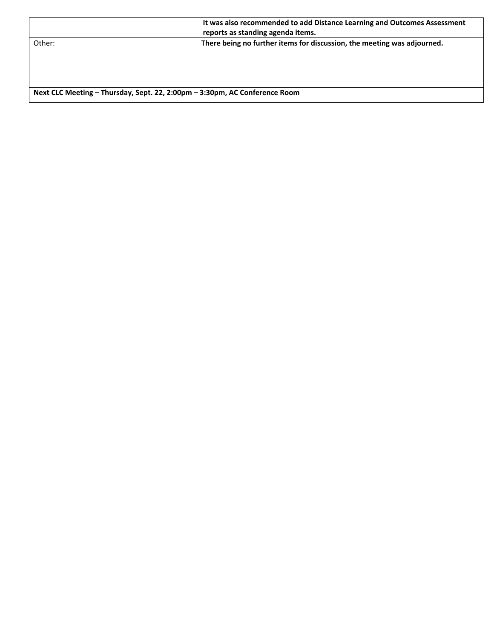|                                                                            | It was also recommended to add Distance Learning and Outcomes Assessment<br>reports as standing agenda items. |
|----------------------------------------------------------------------------|---------------------------------------------------------------------------------------------------------------|
| Other:                                                                     | There being no further items for discussion, the meeting was adjourned.                                       |
| Next CLC Meeting - Thursday, Sept. 22, 2:00pm - 3:30pm, AC Conference Room |                                                                                                               |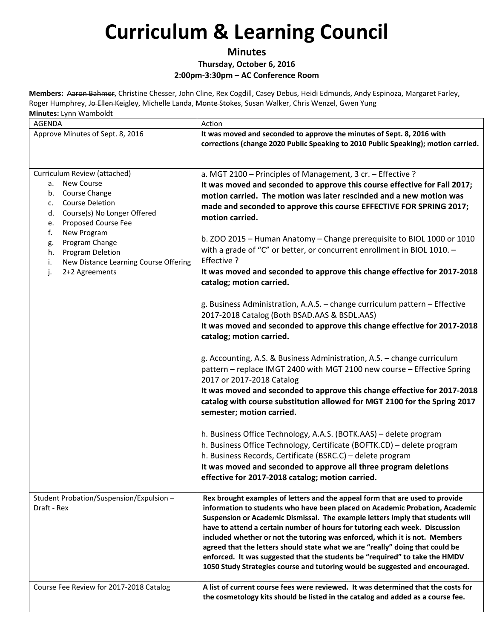#### **Minutes Thursday, October 6, 2016 2:00pm‐3:30pm – AC Conference Room**

| AGENDA                                                                                                                                                                                                                                                                                                                                     | Action                                                                                                                                                                                                                                                                                                                                                                                                                                                                                                                                                                                                                                                       |  |
|--------------------------------------------------------------------------------------------------------------------------------------------------------------------------------------------------------------------------------------------------------------------------------------------------------------------------------------------|--------------------------------------------------------------------------------------------------------------------------------------------------------------------------------------------------------------------------------------------------------------------------------------------------------------------------------------------------------------------------------------------------------------------------------------------------------------------------------------------------------------------------------------------------------------------------------------------------------------------------------------------------------------|--|
| Approve Minutes of Sept. 8, 2016                                                                                                                                                                                                                                                                                                           | It was moved and seconded to approve the minutes of Sept. 8, 2016 with<br>corrections (change 2020 Public Speaking to 2010 Public Speaking); motion carried.                                                                                                                                                                                                                                                                                                                                                                                                                                                                                                 |  |
| Curriculum Review (attached)<br><b>New Course</b><br>a.<br>Course Change<br>b.<br><b>Course Deletion</b><br>$\mathsf{C}$ .<br>Course(s) No Longer Offered<br>d.<br>Proposed Course Fee<br>е.<br>New Program<br>f.<br>Program Change<br>g.<br>Program Deletion<br>h.<br>New Distance Learning Course Offering<br>i.<br>2+2 Agreements<br>j. | a. MGT 2100 - Principles of Management, 3 cr. - Effective ?<br>It was moved and seconded to approve this course effective for Fall 2017;<br>motion carried. The motion was later rescinded and a new motion was<br>made and seconded to approve this course EFFECTIVE FOR SPRING 2017;<br>motion carried.<br>b. ZOO 2015 - Human Anatomy - Change prerequisite to BIOL 1000 or 1010<br>with a grade of "C" or better, or concurrent enrollment in BIOL 1010. $-$<br>Effective ?<br>It was moved and seconded to approve this change effective for 2017-2018<br>catalog; motion carried.                                                                      |  |
|                                                                                                                                                                                                                                                                                                                                            | g. Business Administration, A.A.S. - change curriculum pattern - Effective<br>2017-2018 Catalog (Both BSAD.AAS & BSDL.AAS)<br>It was moved and seconded to approve this change effective for 2017-2018<br>catalog; motion carried.<br>g. Accounting, A.S. & Business Administration, A.S. - change curriculum<br>pattern - replace IMGT 2400 with MGT 2100 new course - Effective Spring<br>2017 or 2017-2018 Catalog<br>It was moved and seconded to approve this change effective for 2017-2018<br>catalog with course substitution allowed for MGT 2100 for the Spring 2017<br>semester; motion carried.                                                  |  |
|                                                                                                                                                                                                                                                                                                                                            | h. Business Office Technology, A.A.S. (BOTK.AAS) - delete program<br>h. Business Office Technology, Certificate (BOFTK.CD) - delete program<br>h. Business Records, Certificate (BSRC.C) - delete program<br>It was moved and seconded to approve all three program deletions<br>effective for 2017-2018 catalog; motion carried.                                                                                                                                                                                                                                                                                                                            |  |
| Student Probation/Suspension/Expulsion -<br>Draft - Rex                                                                                                                                                                                                                                                                                    | Rex brought examples of letters and the appeal form that are used to provide<br>information to students who have been placed on Academic Probation, Academic<br>Suspension or Academic Dismissal. The example letters imply that students will<br>have to attend a certain number of hours for tutoring each week. Discussion<br>included whether or not the tutoring was enforced, which it is not. Members<br>agreed that the letters should state what we are "really" doing that could be<br>enforced. It was suggested that the students be "required" to take the HMDV<br>1050 Study Strategies course and tutoring would be suggested and encouraged. |  |
| Course Fee Review for 2017-2018 Catalog                                                                                                                                                                                                                                                                                                    | A list of current course fees were reviewed. It was determined that the costs for<br>the cosmetology kits should be listed in the catalog and added as a course fee.                                                                                                                                                                                                                                                                                                                                                                                                                                                                                         |  |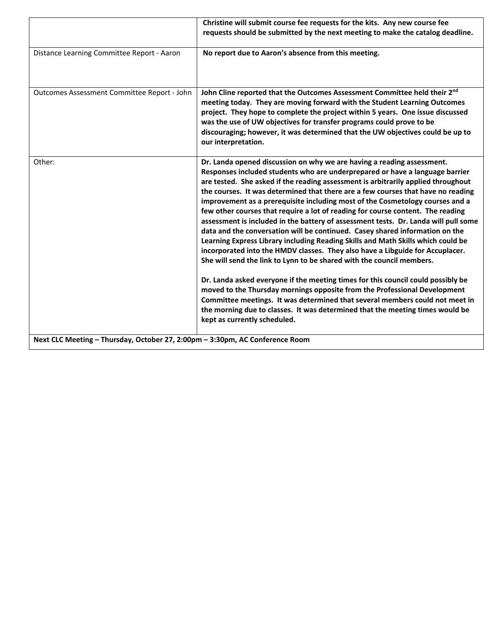|                                                                              | Christine will submit course fee requests for the kits. Any new course fee<br>requests should be submitted by the next meeting to make the catalog deadline.                                                                                                                                                                                                                                                                                                                                                                                                                                                                                                                                                                                                                                                                                                                                                                                                                                                                                                                                                                                                                                                                                                                               |
|------------------------------------------------------------------------------|--------------------------------------------------------------------------------------------------------------------------------------------------------------------------------------------------------------------------------------------------------------------------------------------------------------------------------------------------------------------------------------------------------------------------------------------------------------------------------------------------------------------------------------------------------------------------------------------------------------------------------------------------------------------------------------------------------------------------------------------------------------------------------------------------------------------------------------------------------------------------------------------------------------------------------------------------------------------------------------------------------------------------------------------------------------------------------------------------------------------------------------------------------------------------------------------------------------------------------------------------------------------------------------------|
| Distance Learning Committee Report - Aaron                                   | No report due to Aaron's absence from this meeting.                                                                                                                                                                                                                                                                                                                                                                                                                                                                                                                                                                                                                                                                                                                                                                                                                                                                                                                                                                                                                                                                                                                                                                                                                                        |
| Outcomes Assessment Committee Report - John                                  | John Cline reported that the Outcomes Assessment Committee held their 2nd<br>meeting today. They are moving forward with the Student Learning Outcomes<br>project. They hope to complete the project within 5 years. One issue discussed<br>was the use of UW objectives for transfer programs could prove to be<br>discouraging; however, it was determined that the UW objectives could be up to<br>our interpretation.                                                                                                                                                                                                                                                                                                                                                                                                                                                                                                                                                                                                                                                                                                                                                                                                                                                                  |
| Other:                                                                       | Dr. Landa opened discussion on why we are having a reading assessment.<br>Responses included students who are underprepared or have a language barrier<br>are tested. She asked if the reading assessment is arbitrarily applied throughout<br>the courses. It was determined that there are a few courses that have no reading<br>improvement as a prerequisite including most of the Cosmetology courses and a<br>few other courses that require a lot of reading for course content. The reading<br>assessment is included in the battery of assessment tests. Dr. Landa will pull some<br>data and the conversation will be continued. Casey shared information on the<br>Learning Express Library including Reading Skills and Math Skills which could be<br>incorporated into the HMDV classes. They also have a Libguide for Accuplacer.<br>She will send the link to Lynn to be shared with the council members.<br>Dr. Landa asked everyone if the meeting times for this council could possibly be<br>moved to the Thursday mornings opposite from the Professional Development<br>Committee meetings. It was determined that several members could not meet in<br>the morning due to classes. It was determined that the meeting times would be<br>kept as currently scheduled. |
| Next CLC Meeting - Thursday, October 27, 2:00pm - 3:30pm, AC Conference Room |                                                                                                                                                                                                                                                                                                                                                                                                                                                                                                                                                                                                                                                                                                                                                                                                                                                                                                                                                                                                                                                                                                                                                                                                                                                                                            |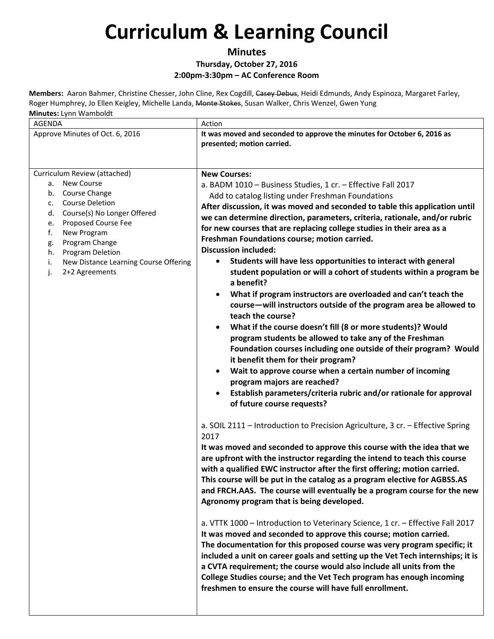**Minutes**

#### **Thursday, October 27, 2016 2:00pm‐3:30pm – AC Conference Room**

| <b>AGENDA</b>                                                                                                                                                                                                                                                                                                                  | Action                                                                                                                                                                                                                                                                                                                                                                                                                                                                                                                                                                                                                                                                                                                                                                                                                                                                                                                                                                                                                                                                                                                                                                                                                                                                                                                                                                                                                                                                                                                                                                                                                                                                                                                                                                                                                                                                                                                                                                                                                                                                                                                                                                                                                                                                                   |
|--------------------------------------------------------------------------------------------------------------------------------------------------------------------------------------------------------------------------------------------------------------------------------------------------------------------------------|------------------------------------------------------------------------------------------------------------------------------------------------------------------------------------------------------------------------------------------------------------------------------------------------------------------------------------------------------------------------------------------------------------------------------------------------------------------------------------------------------------------------------------------------------------------------------------------------------------------------------------------------------------------------------------------------------------------------------------------------------------------------------------------------------------------------------------------------------------------------------------------------------------------------------------------------------------------------------------------------------------------------------------------------------------------------------------------------------------------------------------------------------------------------------------------------------------------------------------------------------------------------------------------------------------------------------------------------------------------------------------------------------------------------------------------------------------------------------------------------------------------------------------------------------------------------------------------------------------------------------------------------------------------------------------------------------------------------------------------------------------------------------------------------------------------------------------------------------------------------------------------------------------------------------------------------------------------------------------------------------------------------------------------------------------------------------------------------------------------------------------------------------------------------------------------------------------------------------------------------------------------------------------------|
| Approve Minutes of Oct. 6, 2016                                                                                                                                                                                                                                                                                                | It was moved and seconded to approve the minutes for October 6, 2016 as<br>presented; motion carried.                                                                                                                                                                                                                                                                                                                                                                                                                                                                                                                                                                                                                                                                                                                                                                                                                                                                                                                                                                                                                                                                                                                                                                                                                                                                                                                                                                                                                                                                                                                                                                                                                                                                                                                                                                                                                                                                                                                                                                                                                                                                                                                                                                                    |
| Curriculum Review (attached)<br><b>New Course</b><br>а.<br>Course Change<br>b.<br><b>Course Deletion</b><br>c.<br>Course(s) No Longer Offered<br>d.<br>Proposed Course Fee<br>е.<br>f.<br>New Program<br>Program Change<br>g.<br>Program Deletion<br>h.<br>New Distance Learning Course Offering<br>i.<br>2+2 Agreements<br>j. | <b>New Courses:</b><br>a. BADM 1010 - Business Studies, 1 cr. - Effective Fall 2017<br>Add to catalog listing under Freshman Foundations<br>After discussion, it was moved and seconded to table this application until<br>we can determine direction, parameters, criteria, rationale, and/or rubric<br>for new courses that are replacing college studies in their area as a<br>Freshman Foundations course; motion carried.<br><b>Discussion included:</b><br>Students will have less opportunities to interact with general<br>student population or will a cohort of students within a program be<br>a benefit?<br>What if program instructors are overloaded and can't teach the<br>course—will instructors outside of the program area be allowed to<br>teach the course?<br>What if the course doesn't fill (8 or more students)? Would<br>program students be allowed to take any of the Freshman<br>Foundation courses including one outside of their program? Would<br>it benefit them for their program?<br>Wait to approve course when a certain number of incoming<br>program majors are reached?<br>Establish parameters/criteria rubric and/or rationale for approval<br>of future course requests?<br>a. SOIL 2111 - Introduction to Precision Agriculture, 3 cr. - Effective Spring<br>2017<br>It was moved and seconded to approve this course with the idea that we<br>are upfront with the instructor regarding the intend to teach this course<br>with a qualified EWC instructor after the first offering; motion carried.<br>This course will be put in the catalog as a program elective for AGBSS.AS<br>and FRCH.AAS. The course will eventually be a program course for the new<br>Agronomy program that is being developed.<br>a. VTTK 1000 - Introduction to Veterinary Science, 1 cr. - Effective Fall 2017<br>It was moved and seconded to approve this course; motion carried.<br>The documentation for this proposed course was very program specific; it<br>included a unit on career goals and setting up the Vet Tech internships; it is<br>a CVTA requirement; the course would also include all units from the<br>College Studies course; and the Vet Tech program has enough incoming<br>freshmen to ensure the course will have full enrollment. |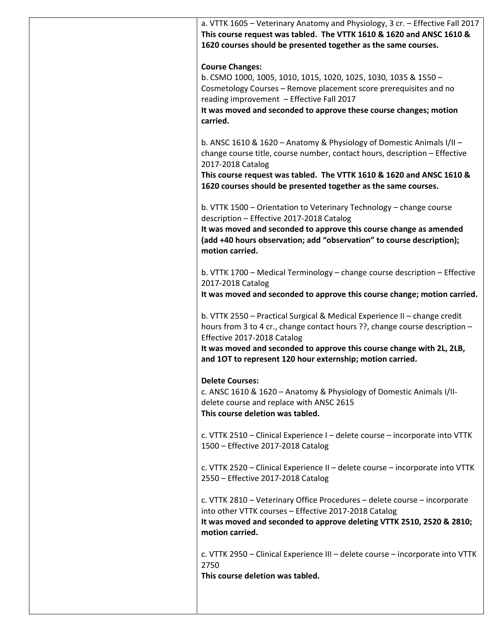a. VTTK 1605 – Veterinary Anatomy and Physiology, 3 cr. – Effective Fall 2017 **This course request was tabled. The VTTK 1610 & 1620 and ANSC 1610 & 1620 courses should be presented together as the same courses. Course Changes:** b. CSMO 1000, 1005, 1010, 1015, 1020, 1025, 1030, 1035 & 1550 –

Cosmetology Courses – Remove placement score prerequisites and no reading improvement – Effective Fall 2017

**It was moved and seconded to approve these course changes; motion carried.**

b. ANSC 1610 & 1620 – Anatomy & Physiology of Domestic Animals I/II – change course title, course number, contact hours, description – Effective 2017‐2018 Catalog

**This course request was tabled. The VTTK 1610 & 1620 and ANSC 1610 & 1620 courses should be presented together as the same courses.**

b. VTTK 1500 – Orientation to Veterinary Technology – change course description – Effective 2017‐2018 Catalog

**It was moved and seconded to approve this course change as amended (add +40 hours observation; add "observation" to course description); motion carried.**

b. VTTK 1700 – Medical Terminology – change course description – Effective 2017‐2018 Catalog

**It was moved and seconded to approve this course change; motion carried.**

b. VTTK 2550 – Practical Surgical & Medical Experience II – change credit hours from 3 to 4 cr., change contact hours ??, change course description – Effective 2017‐2018 Catalog

**It was moved and seconded to approve this course change with 2L, 2LB, and 1OT to represent 120 hour externship; motion carried.**

**Delete Courses:**

c. ANSC 1610 & 1620 – Anatomy & Physiology of Domestic Animals I/II‐ delete course and replace with ANSC 2615 **This course deletion was tabled.**

c. VTTK 2510 – Clinical Experience I – delete course – incorporate into VTTK 1500 – Effective 2017‐2018 Catalog

c. VTTK 2520 – Clinical Experience II – delete course – incorporate into VTTK 2550 – Effective 2017‐2018 Catalog

c. VTTK 2810 – Veterinary Office Procedures – delete course – incorporate into other VTTK courses – Effective 2017‐2018 Catalog

**It was moved and seconded to approve deleting VTTK 2510, 2520 & 2810; motion carried.**

c. VTTK 2950 – Clinical Experience III – delete course – incorporate into VTTK 2750 **This course deletion was tabled.**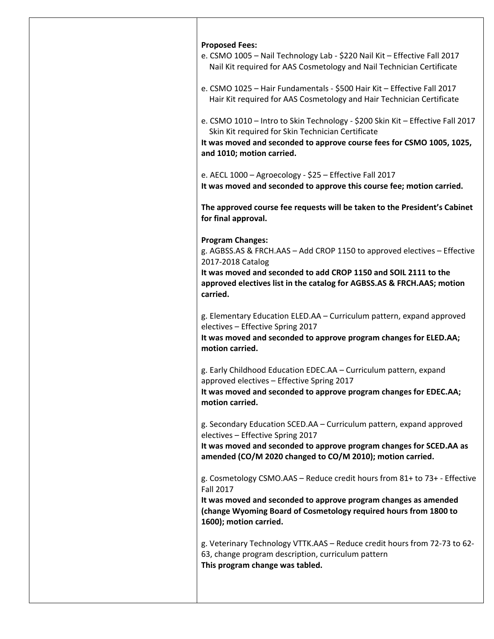| <b>Proposed Fees:</b>                                                                                                                                              |
|--------------------------------------------------------------------------------------------------------------------------------------------------------------------|
| e. CSMO 1005 - Nail Technology Lab - \$220 Nail Kit - Effective Fall 2017                                                                                          |
| Nail Kit required for AAS Cosmetology and Nail Technician Certificate                                                                                              |
| e. CSMO 1025 - Hair Fundamentals - \$500 Hair Kit - Effective Fall 2017                                                                                            |
| Hair Kit required for AAS Cosmetology and Hair Technician Certificate                                                                                              |
| e. CSMO 1010 - Intro to Skin Technology - \$200 Skin Kit - Effective Fall 2017                                                                                     |
| Skin Kit required for Skin Technician Certificate                                                                                                                  |
| It was moved and seconded to approve course fees for CSMO 1005, 1025,                                                                                              |
| and 1010; motion carried.                                                                                                                                          |
| e. AECL 1000 - Agroecology - \$25 - Effective Fall 2017                                                                                                            |
| It was moved and seconded to approve this course fee; motion carried.                                                                                              |
| The approved course fee requests will be taken to the President's Cabinet                                                                                          |
| for final approval.                                                                                                                                                |
| <b>Program Changes:</b>                                                                                                                                            |
| g. AGBSS.AS & FRCH.AAS - Add CROP 1150 to approved electives - Effective                                                                                           |
| 2017-2018 Catalog                                                                                                                                                  |
| It was moved and seconded to add CROP 1150 and SOIL 2111 to the                                                                                                    |
| approved electives list in the catalog for AGBSS.AS & FRCH.AAS; motion                                                                                             |
| carried.                                                                                                                                                           |
| g. Elementary Education ELED.AA - Curriculum pattern, expand approved                                                                                              |
| electives - Effective Spring 2017                                                                                                                                  |
| It was moved and seconded to approve program changes for ELED.AA;                                                                                                  |
| motion carried.                                                                                                                                                    |
| g. Early Childhood Education EDEC.AA - Curriculum pattern, expand                                                                                                  |
| approved electives - Effective Spring 2017                                                                                                                         |
| It was moved and seconded to approve program changes for EDEC.AA;                                                                                                  |
| motion carried.                                                                                                                                                    |
| g. Secondary Education SCED.AA - Curriculum pattern, expand approved                                                                                               |
| electives - Effective Spring 2017                                                                                                                                  |
| It was moved and seconded to approve program changes for SCED.AA as                                                                                                |
| amended (CO/M 2020 changed to CO/M 2010); motion carried.                                                                                                          |
| g. Cosmetology CSMO.AAS - Reduce credit hours from 81+ to 73+ - Effective                                                                                          |
| <b>Fall 2017</b>                                                                                                                                                   |
| It was moved and seconded to approve program changes as amended                                                                                                    |
| (change Wyoming Board of Cosmetology required hours from 1800 to                                                                                                   |
| 1600); motion carried.                                                                                                                                             |
|                                                                                                                                                                    |
|                                                                                                                                                                    |
| g. Veterinary Technology VTTK.AAS - Reduce credit hours from 72-73 to 62-<br>63, change program description, curriculum pattern<br>This program change was tabled. |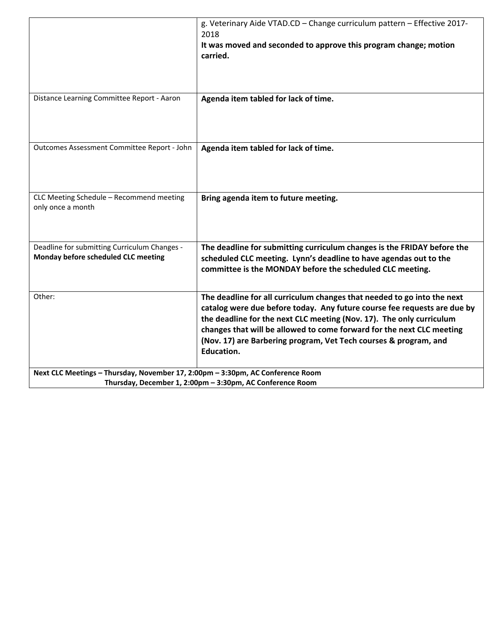|                                                                                | g. Veterinary Aide VTAD.CD - Change curriculum pattern - Effective 2017-<br>2018                                                              |
|--------------------------------------------------------------------------------|-----------------------------------------------------------------------------------------------------------------------------------------------|
|                                                                                | It was moved and seconded to approve this program change; motion                                                                              |
|                                                                                | carried.                                                                                                                                      |
|                                                                                |                                                                                                                                               |
|                                                                                |                                                                                                                                               |
| Distance Learning Committee Report - Aaron                                     |                                                                                                                                               |
|                                                                                | Agenda item tabled for lack of time.                                                                                                          |
|                                                                                |                                                                                                                                               |
|                                                                                |                                                                                                                                               |
| Outcomes Assessment Committee Report - John                                    | Agenda item tabled for lack of time.                                                                                                          |
|                                                                                |                                                                                                                                               |
|                                                                                |                                                                                                                                               |
|                                                                                |                                                                                                                                               |
| CLC Meeting Schedule - Recommend meeting                                       | Bring agenda item to future meeting.                                                                                                          |
| only once a month                                                              |                                                                                                                                               |
|                                                                                |                                                                                                                                               |
|                                                                                |                                                                                                                                               |
| Deadline for submitting Curriculum Changes -                                   | The deadline for submitting curriculum changes is the FRIDAY before the                                                                       |
| Monday before scheduled CLC meeting                                            | scheduled CLC meeting. Lynn's deadline to have agendas out to the                                                                             |
|                                                                                | committee is the MONDAY before the scheduled CLC meeting.                                                                                     |
|                                                                                |                                                                                                                                               |
| Other:                                                                         | The deadline for all curriculum changes that needed to go into the next                                                                       |
|                                                                                | catalog were due before today. Any future course fee requests are due by                                                                      |
|                                                                                | the deadline for the next CLC meeting (Nov. 17). The only curriculum<br>changes that will be allowed to come forward for the next CLC meeting |
|                                                                                | (Nov. 17) are Barbering program, Vet Tech courses & program, and                                                                              |
|                                                                                | <b>Education.</b>                                                                                                                             |
|                                                                                |                                                                                                                                               |
| Next CLC Meetings - Thursday, November 17, 2:00pm - 3:30pm, AC Conference Room |                                                                                                                                               |
| Thursday, December 1, 2:00pm - 3:30pm, AC Conference Room                      |                                                                                                                                               |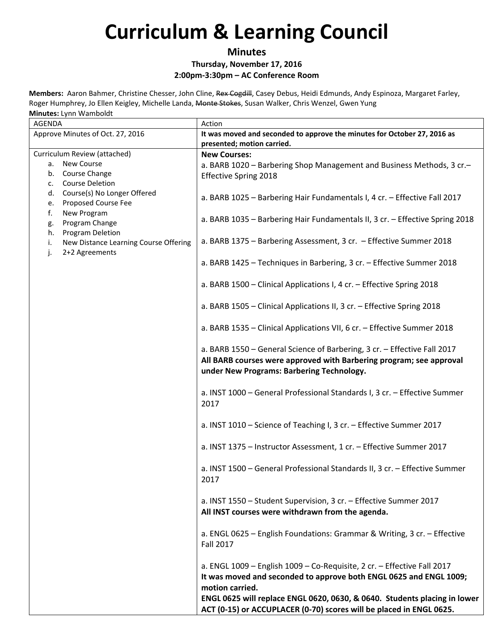#### **Minutes**

### **Thursday, November 17, 2016**

**2:00pm‐3:30pm – AC Conference Room**

| <b>AGENDA</b>                                                         | Action                                                                                                                                                                                       |
|-----------------------------------------------------------------------|----------------------------------------------------------------------------------------------------------------------------------------------------------------------------------------------|
| Approve Minutes of Oct. 27, 2016                                      | It was moved and seconded to approve the minutes for October 27, 2016 as                                                                                                                     |
|                                                                       | presented; motion carried.                                                                                                                                                                   |
| Curriculum Review (attached)                                          | <b>New Courses:</b>                                                                                                                                                                          |
| <b>New Course</b><br>а. –                                             | a. BARB 1020 - Barbering Shop Management and Business Methods, 3 cr.-                                                                                                                        |
| b. Course Change                                                      | <b>Effective Spring 2018</b>                                                                                                                                                                 |
| <b>Course Deletion</b><br>c.                                          |                                                                                                                                                                                              |
| Course(s) No Longer Offered<br>d.<br>Proposed Course Fee<br>e.        | a. BARB 1025 - Barbering Hair Fundamentals I, 4 cr. - Effective Fall 2017                                                                                                                    |
| f.<br>New Program<br>Program Change<br>g.                             | a. BARB 1035 - Barbering Hair Fundamentals II, 3 cr. - Effective Spring 2018                                                                                                                 |
| Program Deletion<br>h.<br>New Distance Learning Course Offering<br>i. | a. BARB 1375 - Barbering Assessment, 3 cr. - Effective Summer 2018                                                                                                                           |
| 2+2 Agreements<br>j.                                                  | a. BARB 1425 - Techniques in Barbering, 3 cr. - Effective Summer 2018                                                                                                                        |
|                                                                       | a. BARB 1500 - Clinical Applications I, 4 cr. - Effective Spring 2018                                                                                                                        |
|                                                                       | a. BARB 1505 - Clinical Applications II, 3 cr. - Effective Spring 2018                                                                                                                       |
|                                                                       | a. BARB 1535 - Clinical Applications VII, 6 cr. - Effective Summer 2018                                                                                                                      |
|                                                                       | a. BARB 1550 - General Science of Barbering, 3 cr. - Effective Fall 2017<br>All BARB courses were approved with Barbering program; see approval<br>under New Programs: Barbering Technology. |
|                                                                       |                                                                                                                                                                                              |
|                                                                       | a. INST 1000 - General Professional Standards I, 3 cr. - Effective Summer<br>2017                                                                                                            |
|                                                                       | a. INST 1010 - Science of Teaching I, 3 cr. - Effective Summer 2017                                                                                                                          |
|                                                                       | a. INST 1375 - Instructor Assessment, 1 cr. - Effective Summer 2017                                                                                                                          |
|                                                                       | a. INST 1500 - General Professional Standards II, 3 cr. - Effective Summer<br>2017                                                                                                           |
|                                                                       | a. INST 1550 - Student Supervision, 3 cr. - Effective Summer 2017<br>All INST courses were withdrawn from the agenda.                                                                        |
|                                                                       | a. ENGL 0625 - English Foundations: Grammar & Writing, 3 cr. - Effective<br><b>Fall 2017</b>                                                                                                 |
|                                                                       | a. ENGL $1009$ – English $1009$ – Co-Requisite, 2 cr. – Effective Fall 2017<br>It was moved and seconded to approve both ENGL 0625 and ENGL 1009;<br>motion carried.                         |
|                                                                       | ENGL 0625 will replace ENGL 0620, 0630, & 0640. Students placing in lower<br>ACT (0-15) or ACCUPLACER (0-70) scores will be placed in ENGL 0625.                                             |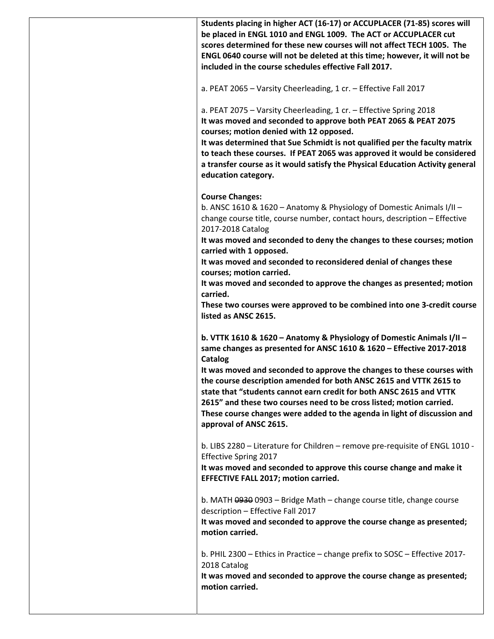**Students placing in higher ACT (16‐17) or ACCUPLACER (71‐85) scores will be placed in ENGL 1010 and ENGL 1009. The ACT or ACCUPLACER cut scores determined for these new courses will not affect TECH 1005. The ENGL 0640 course will not be deleted at this time; however, it will not be included in the course schedules effective Fall 2017.**

a. PEAT 2065 – Varsity Cheerleading, 1 cr. – Effective Fall 2017

a. PEAT 2075 – Varsity Cheerleading, 1 cr. – Effective Spring 2018 **It was moved and seconded to approve both PEAT 2065 & PEAT 2075 courses; motion denied with 12 opposed.**

**It was determined that Sue Schmidt is not qualified per the faculty matrix to teach these courses. If PEAT 2065 was approved it would be considered a transfer course as it would satisfy the Physical Education Activity general education category.**

#### **Course Changes:**

b. ANSC 1610 & 1620 – Anatomy & Physiology of Domestic Animals I/II – change course title, course number, contact hours, description – Effective 2017‐2018 Catalog

**It was moved and seconded to deny the changes to these courses; motion carried with 1 opposed.**

**It was moved and seconded to reconsidered denial of changes these courses; motion carried.**

**It was moved and seconded to approve the changes as presented; motion carried.**

**These two courses were approved to be combined into one 3‐credit course listed as ANSC 2615.**

**b. VTTK 1610 & 1620 – Anatomy & Physiology of Domestic Animals I/II – same changes as presented for ANSC 1610 & 1620 – Effective 2017‐2018 Catalog**

**It was moved and seconded to approve the changes to these courses with the course description amended for both ANSC 2615 and VTTK 2615 to state that "students cannot earn credit for both ANSC 2615 and VTTK 2615" and these two courses need to be cross listed; motion carried. These course changes were added to the agenda in light of discussion and approval of ANSC 2615.**

b. LIBS 2280 – Literature for Children – remove pre‐requisite of ENGL 1010 ‐ Effective Spring 2017

**It was moved and seconded to approve this course change and make it EFFECTIVE FALL 2017; motion carried.**

b. MATH 0930 0903 – Bridge Math – change course title, change course description – Effective Fall 2017

**It was moved and seconded to approve the course change as presented; motion carried.**

b. PHIL 2300 – Ethics in Practice – change prefix to SOSC – Effective 2017‐ 2018 Catalog

**It was moved and seconded to approve the course change as presented; motion carried.**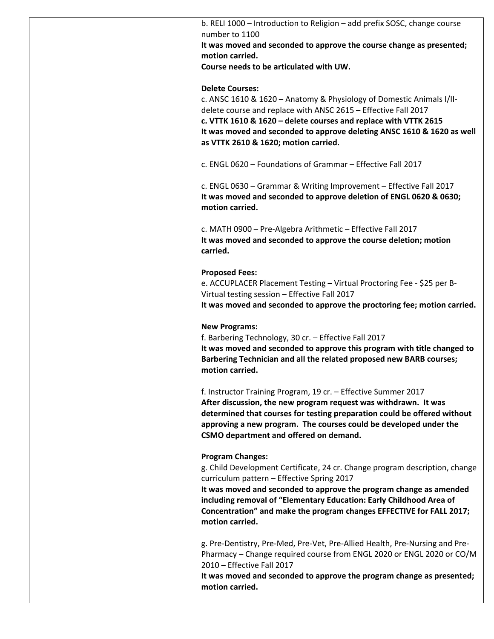b. RELI 1000 – Introduction to Religion – add prefix SOSC, change course number to 1100 **It was moved and seconded to approve the course change as presented; motion carried. Course needs to be articulated with UW. Delete Courses:** c. ANSC 1610 & 1620 – Anatomy & Physiology of Domestic Animals I/II‐ delete course and replace with ANSC 2615 – Effective Fall 2017 **c. VTTK 1610 & 1620 – delete courses and replace with VTTK 2615 It was moved and seconded to approve deleting ANSC 1610 & 1620 as well as VTTK 2610 & 1620; motion carried.** c. ENGL 0620 – Foundations of Grammar – Effective Fall 2017 c. ENGL 0630 – Grammar & Writing Improvement – Effective Fall 2017 **It was moved and seconded to approve deletion of ENGL 0620 & 0630; motion carried.** c. MATH 0900 – Pre‐Algebra Arithmetic – Effective Fall 2017 **It was moved and seconded to approve the course deletion; motion carried. Proposed Fees:** e. ACCUPLACER Placement Testing – Virtual Proctoring Fee ‐ \$25 per B‐ Virtual testing session – Effective Fall 2017 **It was moved and seconded to approve the proctoring fee; motion carried. New Programs:** f. Barbering Technology, 30 cr. – Effective Fall 2017 **It was moved and seconded to approve this program with title changed to Barbering Technician and all the related proposed new BARB courses; motion carried.** f. Instructor Training Program, 19 cr. – Effective Summer 2017 **After discussion, the new program request was withdrawn. It was determined that courses for testing preparation could be offered without approving a new program. The courses could be developed under the CSMO department and offered on demand. Program Changes:** g. Child Development Certificate, 24 cr. Change program description, change curriculum pattern – Effective Spring 2017 **It was moved and seconded to approve the program change as amended including removal of "Elementary Education: Early Childhood Area of Concentration" and make the program changes EFFECTIVE for FALL 2017; motion carried.** g. Pre‐Dentistry, Pre‐Med, Pre‐Vet, Pre‐Allied Health, Pre‐Nursing and Pre‐ Pharmacy – Change required course from ENGL 2020 or ENGL 2020 or CO/M 2010 – Effective Fall 2017 **It was moved and seconded to approve the program change as presented; motion carried.**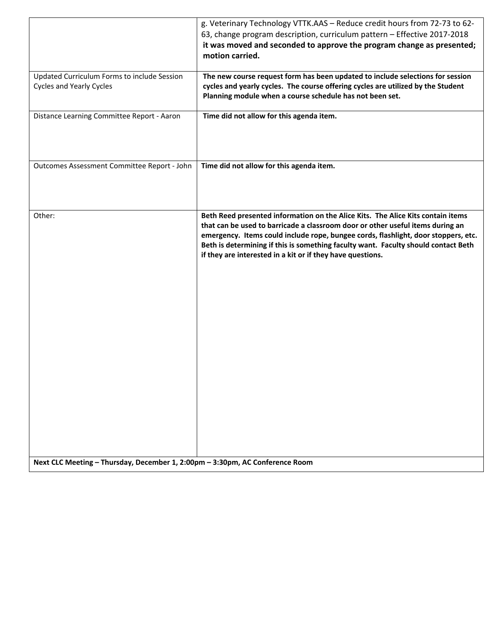|                                                                                | g. Veterinary Technology VTTK.AAS - Reduce credit hours from 72-73 to 62-<br>63, change program description, curriculum pattern - Effective 2017-2018<br>it was moved and seconded to approve the program change as presented;<br>motion carried.                                                                                                                                                           |
|--------------------------------------------------------------------------------|-------------------------------------------------------------------------------------------------------------------------------------------------------------------------------------------------------------------------------------------------------------------------------------------------------------------------------------------------------------------------------------------------------------|
| Updated Curriculum Forms to include Session<br><b>Cycles and Yearly Cycles</b> | The new course request form has been updated to include selections for session<br>cycles and yearly cycles. The course offering cycles are utilized by the Student<br>Planning module when a course schedule has not been set.                                                                                                                                                                              |
| Distance Learning Committee Report - Aaron                                     | Time did not allow for this agenda item.                                                                                                                                                                                                                                                                                                                                                                    |
| Outcomes Assessment Committee Report - John                                    | Time did not allow for this agenda item.                                                                                                                                                                                                                                                                                                                                                                    |
| Other:                                                                         | Beth Reed presented information on the Alice Kits. The Alice Kits contain items<br>that can be used to barricade a classroom door or other useful items during an<br>emergency. Items could include rope, bungee cords, flashlight, door stoppers, etc.<br>Beth is determining if this is something faculty want. Faculty should contact Beth<br>if they are interested in a kit or if they have questions. |
| Next CLC Meeting - Thursday, December 1, 2:00pm - 3:30pm, AC Conference Room   |                                                                                                                                                                                                                                                                                                                                                                                                             |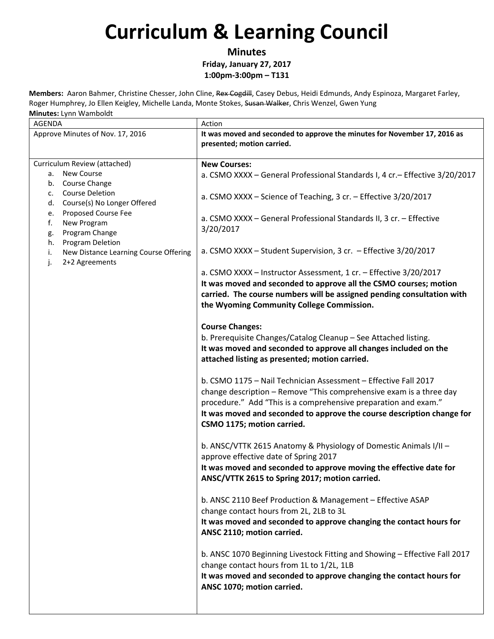**Minutes**

**Friday, January 27, 2017 1:00pm‐3:00pm – T131**

| AGENDA<br>Approve Minutes of Nov. 17, 2016                                                                                                                                                                                                                                                                                     | Action<br>It was moved and seconded to approve the minutes for November 17, 2016 as<br>presented; motion carried.                                                                                                                                                                                                                                                                                                                                                                                                                                                                                                                                                                                                                                                                                                                                                                                                                                                                                                                                                                                                                                                                                                                                                                                                                                                                                                                                                                                                                                                                                                                                                                                                                                                                                                          |
|--------------------------------------------------------------------------------------------------------------------------------------------------------------------------------------------------------------------------------------------------------------------------------------------------------------------------------|----------------------------------------------------------------------------------------------------------------------------------------------------------------------------------------------------------------------------------------------------------------------------------------------------------------------------------------------------------------------------------------------------------------------------------------------------------------------------------------------------------------------------------------------------------------------------------------------------------------------------------------------------------------------------------------------------------------------------------------------------------------------------------------------------------------------------------------------------------------------------------------------------------------------------------------------------------------------------------------------------------------------------------------------------------------------------------------------------------------------------------------------------------------------------------------------------------------------------------------------------------------------------------------------------------------------------------------------------------------------------------------------------------------------------------------------------------------------------------------------------------------------------------------------------------------------------------------------------------------------------------------------------------------------------------------------------------------------------------------------------------------------------------------------------------------------------|
| Curriculum Review (attached)<br><b>New Course</b><br>а.<br>Course Change<br>b.<br><b>Course Deletion</b><br>c.<br>Course(s) No Longer Offered<br>d.<br>Proposed Course Fee<br>e.<br>f.<br>New Program<br>Program Change<br>g.<br>Program Deletion<br>h.<br>New Distance Learning Course Offering<br>i.<br>2+2 Agreements<br>j. | <b>New Courses:</b><br>a. CSMO XXXX - General Professional Standards I, 4 cr. - Effective 3/20/2017<br>a. CSMO XXXX - Science of Teaching, 3 cr. - Effective 3/20/2017<br>a. CSMO XXXX - General Professional Standards II, 3 cr. - Effective<br>3/20/2017<br>a. CSMO XXXX - Student Supervision, 3 cr. - Effective 3/20/2017<br>a. CSMO XXXX - Instructor Assessment, 1 cr. - Effective 3/20/2017<br>It was moved and seconded to approve all the CSMO courses; motion<br>carried. The course numbers will be assigned pending consultation with<br>the Wyoming Community College Commission.<br><b>Course Changes:</b><br>b. Prerequisite Changes/Catalog Cleanup - See Attached listing.<br>It was moved and seconded to approve all changes included on the<br>attached listing as presented; motion carried.<br>b. CSMO 1175 - Nail Technician Assessment - Effective Fall 2017<br>change description - Remove "This comprehensive exam is a three day<br>procedure." Add "This is a comprehensive preparation and exam."<br>It was moved and seconded to approve the course description change for<br>CSMO 1175; motion carried.<br>b. ANSC/VTTK 2615 Anatomy & Physiology of Domestic Animals I/II -<br>approve effective date of Spring 2017<br>It was moved and seconded to approve moving the effective date for<br>ANSC/VTTK 2615 to Spring 2017; motion carried.<br>b. ANSC 2110 Beef Production & Management - Effective ASAP<br>change contact hours from 2L, 2LB to 3L<br>It was moved and seconded to approve changing the contact hours for<br>ANSC 2110; motion carried.<br>b. ANSC 1070 Beginning Livestock Fitting and Showing - Effective Fall 2017<br>change contact hours from 1L to 1/2L, 1LB<br>It was moved and seconded to approve changing the contact hours for<br>ANSC 1070; motion carried. |
|                                                                                                                                                                                                                                                                                                                                |                                                                                                                                                                                                                                                                                                                                                                                                                                                                                                                                                                                                                                                                                                                                                                                                                                                                                                                                                                                                                                                                                                                                                                                                                                                                                                                                                                                                                                                                                                                                                                                                                                                                                                                                                                                                                            |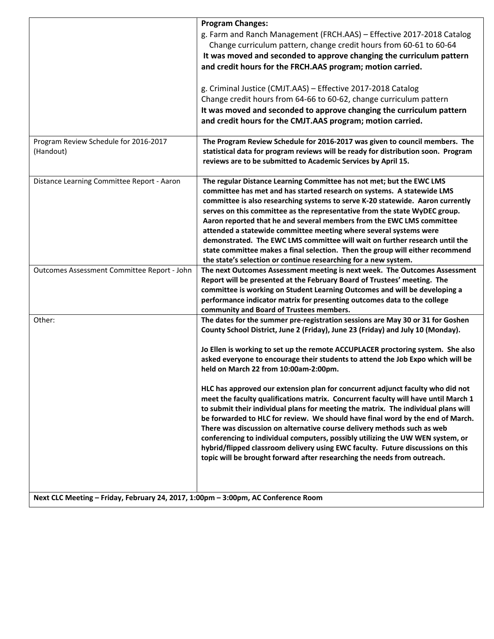|                                                                                   | <b>Program Changes:</b><br>g. Farm and Ranch Management (FRCH.AAS) - Effective 2017-2018 Catalog<br>Change curriculum pattern, change credit hours from 60-61 to 60-64<br>It was moved and seconded to approve changing the curriculum pattern<br>and credit hours for the FRCH.AAS program; motion carried.<br>g. Criminal Justice (CMJT.AAS) - Effective 2017-2018 Catalog<br>Change credit hours from 64-66 to 60-62, change curriculum pattern<br>It was moved and seconded to approve changing the curriculum pattern<br>and credit hours for the CMJT.AAS program; motion carried.                                                                                                                                                                                                                                                                                                                                                                                                                                                                     |
|-----------------------------------------------------------------------------------|--------------------------------------------------------------------------------------------------------------------------------------------------------------------------------------------------------------------------------------------------------------------------------------------------------------------------------------------------------------------------------------------------------------------------------------------------------------------------------------------------------------------------------------------------------------------------------------------------------------------------------------------------------------------------------------------------------------------------------------------------------------------------------------------------------------------------------------------------------------------------------------------------------------------------------------------------------------------------------------------------------------------------------------------------------------|
| Program Review Schedule for 2016-2017<br>(Handout)                                | The Program Review Schedule for 2016-2017 was given to council members. The<br>statistical data for program reviews will be ready for distribution soon. Program<br>reviews are to be submitted to Academic Services by April 15.                                                                                                                                                                                                                                                                                                                                                                                                                                                                                                                                                                                                                                                                                                                                                                                                                            |
| Distance Learning Committee Report - Aaron                                        | The regular Distance Learning Committee has not met; but the EWC LMS<br>committee has met and has started research on systems. A statewide LMS<br>committee is also researching systems to serve K-20 statewide. Aaron currently<br>serves on this committee as the representative from the state WyDEC group.<br>Aaron reported that he and several members from the EWC LMS committee<br>attended a statewide committee meeting where several systems were<br>demonstrated. The EWC LMS committee will wait on further research until the<br>state committee makes a final selection. Then the group will either recommend<br>the state's selection or continue researching for a new system.                                                                                                                                                                                                                                                                                                                                                              |
| Outcomes Assessment Committee Report - John                                       | The next Outcomes Assessment meeting is next week. The Outcomes Assessment<br>Report will be presented at the February Board of Trustees' meeting. The<br>committee is working on Student Learning Outcomes and will be developing a<br>performance indicator matrix for presenting outcomes data to the college<br>community and Board of Trustees members.                                                                                                                                                                                                                                                                                                                                                                                                                                                                                                                                                                                                                                                                                                 |
| Other:                                                                            | The dates for the summer pre-registration sessions are May 30 or 31 for Goshen<br>County School District, June 2 (Friday), June 23 (Friday) and July 10 (Monday).<br>Jo Ellen is working to set up the remote ACCUPLACER proctoring system. She also<br>asked everyone to encourage their students to attend the Job Expo which will be<br>held on March 22 from 10:00am-2:00pm.<br>HLC has approved our extension plan for concurrent adjunct faculty who did not<br>meet the faculty qualifications matrix. Concurrent faculty will have until March 1<br>to submit their individual plans for meeting the matrix. The individual plans will<br>be forwarded to HLC for review. We should have final word by the end of March.<br>There was discussion on alternative course delivery methods such as web<br>conferencing to individual computers, possibly utilizing the UW WEN system, or<br>hybrid/flipped classroom delivery using EWC faculty. Future discussions on this<br>topic will be brought forward after researching the needs from outreach. |
| Next CLC Meeting - Friday, February 24, 2017, 1:00pm - 3:00pm, AC Conference Room |                                                                                                                                                                                                                                                                                                                                                                                                                                                                                                                                                                                                                                                                                                                                                                                                                                                                                                                                                                                                                                                              |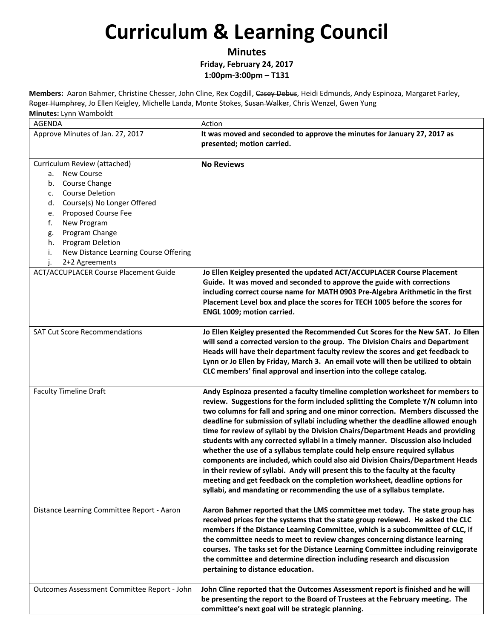**Minutes**

#### **Friday, February 24, 2017 1:00pm‐3:00pm – T131**

| <b>AGENDA</b>                                                                                                                                                                                                                                                                                                            | Action                                                                                                                                                                                                                                                                                                                                                                                                                                                                                                                                                                                                                                                                                                                                                                                                                                                                                                                        |
|--------------------------------------------------------------------------------------------------------------------------------------------------------------------------------------------------------------------------------------------------------------------------------------------------------------------------|-------------------------------------------------------------------------------------------------------------------------------------------------------------------------------------------------------------------------------------------------------------------------------------------------------------------------------------------------------------------------------------------------------------------------------------------------------------------------------------------------------------------------------------------------------------------------------------------------------------------------------------------------------------------------------------------------------------------------------------------------------------------------------------------------------------------------------------------------------------------------------------------------------------------------------|
| Approve Minutes of Jan. 27, 2017                                                                                                                                                                                                                                                                                         | It was moved and seconded to approve the minutes for January 27, 2017 as<br>presented; motion carried.                                                                                                                                                                                                                                                                                                                                                                                                                                                                                                                                                                                                                                                                                                                                                                                                                        |
| Curriculum Review (attached)<br><b>New Course</b><br>а.<br>Course Change<br>b.<br><b>Course Deletion</b><br>c.<br>Course(s) No Longer Offered<br>d.<br>Proposed Course Fee<br>e.<br>f.<br>New Program<br>Program Change<br>g.<br>Program Deletion<br>h.<br>i.<br>New Distance Learning Course Offering<br>2+2 Agreements | <b>No Reviews</b>                                                                                                                                                                                                                                                                                                                                                                                                                                                                                                                                                                                                                                                                                                                                                                                                                                                                                                             |
| <b>ACT/ACCUPLACER Course Placement Guide</b>                                                                                                                                                                                                                                                                             | Jo Ellen Keigley presented the updated ACT/ACCUPLACER Course Placement<br>Guide. It was moved and seconded to approve the guide with corrections<br>including correct course name for MATH 0903 Pre-Algebra Arithmetic in the first<br>Placement Level box and place the scores for TECH 1005 before the scores for<br>ENGL 1009; motion carried.                                                                                                                                                                                                                                                                                                                                                                                                                                                                                                                                                                             |
| <b>SAT Cut Score Recommendations</b>                                                                                                                                                                                                                                                                                     | Jo Ellen Keigley presented the Recommended Cut Scores for the New SAT. Jo Ellen<br>will send a corrected version to the group. The Division Chairs and Department<br>Heads will have their department faculty review the scores and get feedback to<br>Lynn or Jo Ellen by Friday, March 3. An email vote will then be utilized to obtain<br>CLC members' final approval and insertion into the college catalog.                                                                                                                                                                                                                                                                                                                                                                                                                                                                                                              |
| <b>Faculty Timeline Draft</b>                                                                                                                                                                                                                                                                                            | Andy Espinoza presented a faculty timeline completion worksheet for members to<br>review. Suggestions for the form included splitting the Complete Y/N column into<br>two columns for fall and spring and one minor correction. Members discussed the<br>deadline for submission of syllabi including whether the deadline allowed enough<br>time for review of syllabi by the Division Chairs/Department Heads and providing<br>students with any corrected syllabi in a timely manner. Discussion also included<br>whether the use of a syllabus template could help ensure required syllabus<br>components are included, which could also aid Division Chairs/Department Heads<br>in their review of syllabi. Andy will present this to the faculty at the faculty<br>meeting and get feedback on the completion worksheet, deadline options for<br>syllabi, and mandating or recommending the use of a syllabus template. |
| Distance Learning Committee Report - Aaron                                                                                                                                                                                                                                                                               | Aaron Bahmer reported that the LMS committee met today. The state group has<br>received prices for the systems that the state group reviewed. He asked the CLC<br>members if the Distance Learning Committee, which is a subcommittee of CLC, if<br>the committee needs to meet to review changes concerning distance learning<br>courses. The tasks set for the Distance Learning Committee including reinvigorate<br>the committee and determine direction including research and discussion<br>pertaining to distance education.                                                                                                                                                                                                                                                                                                                                                                                           |
| Outcomes Assessment Committee Report - John                                                                                                                                                                                                                                                                              | John Cline reported that the Outcomes Assessment report is finished and he will<br>be presenting the report to the Board of Trustees at the February meeting. The<br>committee's next goal will be strategic planning.                                                                                                                                                                                                                                                                                                                                                                                                                                                                                                                                                                                                                                                                                                        |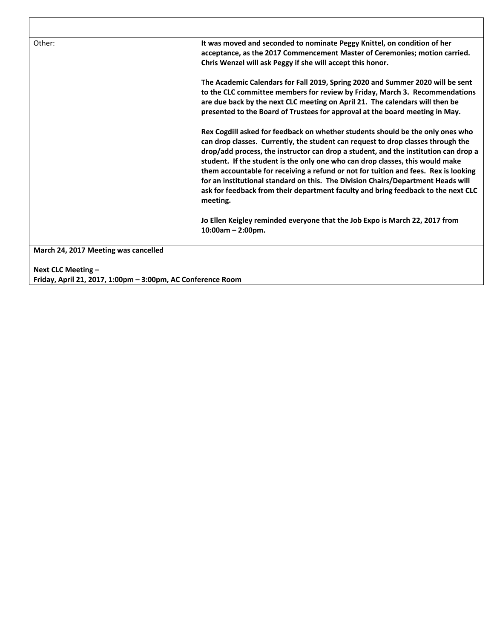| Other:                               | It was moved and seconded to nominate Peggy Knittel, on condition of her                                                                                                                                                                                                                                                                                                                                                                                                                                                                                                                                               |
|--------------------------------------|------------------------------------------------------------------------------------------------------------------------------------------------------------------------------------------------------------------------------------------------------------------------------------------------------------------------------------------------------------------------------------------------------------------------------------------------------------------------------------------------------------------------------------------------------------------------------------------------------------------------|
|                                      | acceptance, as the 2017 Commencement Master of Ceremonies; motion carried.                                                                                                                                                                                                                                                                                                                                                                                                                                                                                                                                             |
|                                      | Chris Wenzel will ask Peggy if she will accept this honor.                                                                                                                                                                                                                                                                                                                                                                                                                                                                                                                                                             |
|                                      | The Academic Calendars for Fall 2019, Spring 2020 and Summer 2020 will be sent                                                                                                                                                                                                                                                                                                                                                                                                                                                                                                                                         |
|                                      | to the CLC committee members for review by Friday, March 3. Recommendations                                                                                                                                                                                                                                                                                                                                                                                                                                                                                                                                            |
|                                      | are due back by the next CLC meeting on April 21. The calendars will then be                                                                                                                                                                                                                                                                                                                                                                                                                                                                                                                                           |
|                                      | presented to the Board of Trustees for approval at the board meeting in May.                                                                                                                                                                                                                                                                                                                                                                                                                                                                                                                                           |
|                                      | Rex Cogdill asked for feedback on whether students should be the only ones who<br>can drop classes. Currently, the student can request to drop classes through the<br>drop/add process, the instructor can drop a student, and the institution can drop a<br>student. If the student is the only one who can drop classes, this would make<br>them accountable for receiving a refund or not for tuition and fees. Rex is looking<br>for an institutional standard on this. The Division Chairs/Department Heads will<br>ask for feedback from their department faculty and bring feedback to the next CLC<br>meeting. |
|                                      | Jo Ellen Keigley reminded everyone that the Job Expo is March 22, 2017 from<br>$10:00am - 2:00pm.$                                                                                                                                                                                                                                                                                                                                                                                                                                                                                                                     |
| March 24, 2017 Meeting was cancelled |                                                                                                                                                                                                                                                                                                                                                                                                                                                                                                                                                                                                                        |

**Next CLC Meeting – Friday, April 21, 2017, 1:00pm – 3:00pm, AC Conference Room**

 $\Gamma$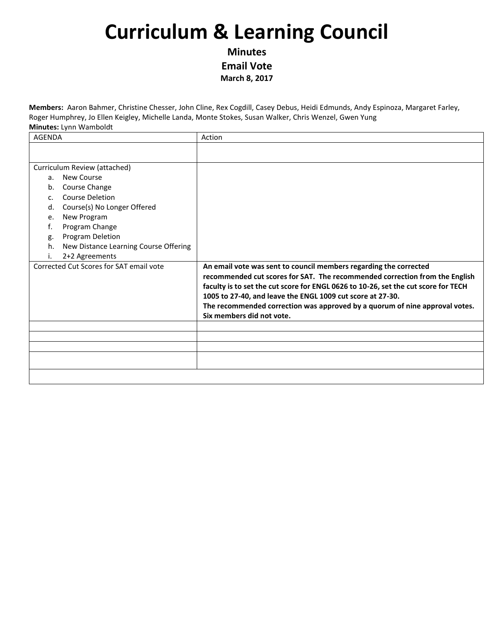**Minutes Email Vote March 8, 2017**

| <b>AGENDA</b>                               | Action                                                                                                                                           |
|---------------------------------------------|--------------------------------------------------------------------------------------------------------------------------------------------------|
|                                             |                                                                                                                                                  |
|                                             |                                                                                                                                                  |
| Curriculum Review (attached)                |                                                                                                                                                  |
| New Course<br>a.                            |                                                                                                                                                  |
| Course Change<br>b.                         |                                                                                                                                                  |
| <b>Course Deletion</b><br>C.                |                                                                                                                                                  |
| Course(s) No Longer Offered<br>d.           |                                                                                                                                                  |
| New Program<br>e.                           |                                                                                                                                                  |
| Program Change<br>f.                        |                                                                                                                                                  |
| Program Deletion<br>g.                      |                                                                                                                                                  |
| New Distance Learning Course Offering<br>h. |                                                                                                                                                  |
| 2+2 Agreements                              |                                                                                                                                                  |
| Corrected Cut Scores for SAT email vote     | An email vote was sent to council members regarding the corrected<br>recommended cut scores for SAT. The recommended correction from the English |
|                                             | faculty is to set the cut score for ENGL 0626 to 10-26, set the cut score for TECH                                                               |
|                                             | 1005 to 27-40, and leave the ENGL 1009 cut score at 27-30.                                                                                       |
|                                             | The recommended correction was approved by a quorum of nine approval votes.                                                                      |
|                                             | Six members did not vote.                                                                                                                        |
|                                             |                                                                                                                                                  |
|                                             |                                                                                                                                                  |
|                                             |                                                                                                                                                  |
|                                             |                                                                                                                                                  |
|                                             |                                                                                                                                                  |
|                                             |                                                                                                                                                  |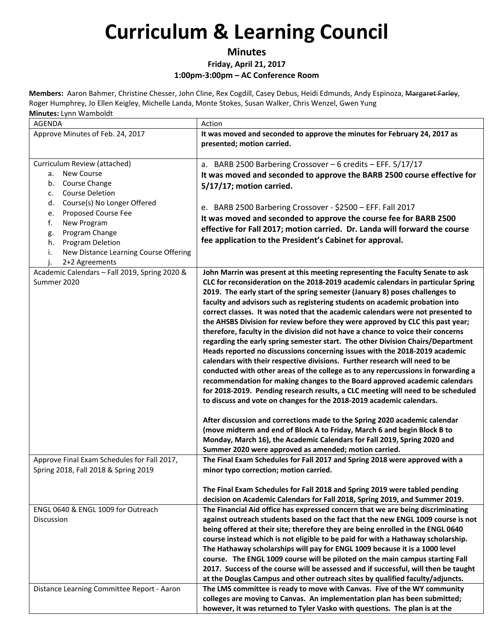### **Minutes**

#### **Friday, April 21, 2017 1:00pm‐3:00pm – AC Conference Room**

| <b>AGENDA</b>                                                                                                                                                                                                                                                                                                            | Action                                                                                                                                                                                                                                                                                                                                                                                                                                                                                                                                                                                                                                                                                                                                                                                                                                                                                                                                                                                                                                                                                                                                                                                                                                                                                                                                                                                                            |
|--------------------------------------------------------------------------------------------------------------------------------------------------------------------------------------------------------------------------------------------------------------------------------------------------------------------------|-------------------------------------------------------------------------------------------------------------------------------------------------------------------------------------------------------------------------------------------------------------------------------------------------------------------------------------------------------------------------------------------------------------------------------------------------------------------------------------------------------------------------------------------------------------------------------------------------------------------------------------------------------------------------------------------------------------------------------------------------------------------------------------------------------------------------------------------------------------------------------------------------------------------------------------------------------------------------------------------------------------------------------------------------------------------------------------------------------------------------------------------------------------------------------------------------------------------------------------------------------------------------------------------------------------------------------------------------------------------------------------------------------------------|
| Approve Minutes of Feb. 24, 2017                                                                                                                                                                                                                                                                                         | It was moved and seconded to approve the minutes for February 24, 2017 as<br>presented; motion carried.                                                                                                                                                                                                                                                                                                                                                                                                                                                                                                                                                                                                                                                                                                                                                                                                                                                                                                                                                                                                                                                                                                                                                                                                                                                                                                           |
| Curriculum Review (attached)<br><b>New Course</b><br>а.<br>Course Change<br>b.<br><b>Course Deletion</b><br>c.<br>Course(s) No Longer Offered<br>d.<br>Proposed Course Fee<br>e.<br>f.<br>New Program<br>Program Change<br>g.<br>Program Deletion<br>h.<br>New Distance Learning Course Offering<br>i.<br>2+2 Agreements | a. BARB 2500 Barbering Crossover $-6$ credits $-$ EFF. 5/17/17<br>It was moved and seconded to approve the BARB 2500 course effective for<br>5/17/17; motion carried.<br>e. BARB 2500 Barbering Crossover - \$2500 - EFF. Fall 2017<br>It was moved and seconded to approve the course fee for BARB 2500<br>effective for Fall 2017; motion carried. Dr. Landa will forward the course<br>fee application to the President's Cabinet for approval.                                                                                                                                                                                                                                                                                                                                                                                                                                                                                                                                                                                                                                                                                                                                                                                                                                                                                                                                                                |
| Academic Calendars - Fall 2019, Spring 2020 &<br>Summer 2020                                                                                                                                                                                                                                                             | John Marrin was present at this meeting representing the Faculty Senate to ask<br>CLC for reconsideration on the 2018-2019 academic calendars in particular Spring<br>2019. The early start of the spring semester (January 8) poses challenges to<br>faculty and advisors such as registering students on academic probation into<br>correct classes. It was noted that the academic calendars were not presented to<br>the AHSBS Division for review before they were approved by CLC this past year;<br>therefore, faculty in the division did not have a chance to voice their concerns<br>regarding the early spring semester start. The other Division Chairs/Department<br>Heads reported no discussions concerning issues with the 2018-2019 academic<br>calendars with their respective divisions. Further research will need to be<br>conducted with other areas of the college as to any repercussions in forwarding a<br>recommendation for making changes to the Board approved academic calendars<br>for 2018-2019. Pending research results, a CLC meeting will need to be scheduled<br>to discuss and vote on changes for the 2018-2019 academic calendars.<br>After discussion and corrections made to the Spring 2020 academic calendar<br>(move midterm and end of Block A to Friday, March 6 and begin Block B to<br>Monday, March 16), the Academic Calendars for Fall 2019, Spring 2020 and |
| Approve Final Exam Schedules for Fall 2017,<br>Spring 2018, Fall 2018 & Spring 2019                                                                                                                                                                                                                                      | Summer 2020 were approved as amended; motion carried.<br>The Final Exam Schedules for Fall 2017 and Spring 2018 were approved with a<br>minor typo correction; motion carried.<br>The Final Exam Schedules for Fall 2018 and Spring 2019 were tabled pending                                                                                                                                                                                                                                                                                                                                                                                                                                                                                                                                                                                                                                                                                                                                                                                                                                                                                                                                                                                                                                                                                                                                                      |
| ENGL 0640 & ENGL 1009 for Outreach<br>Discussion                                                                                                                                                                                                                                                                         | decision on Academic Calendars for Fall 2018, Spring 2019, and Summer 2019.<br>The Financial Aid office has expressed concern that we are being discriminating<br>against outreach students based on the fact that the new ENGL 1009 course is not<br>being offered at their site; therefore they are being enrolled in the ENGL 0640<br>course instead which is not eligible to be paid for with a Hathaway scholarship.<br>The Hathaway scholarships will pay for ENGL 1009 because it is a 1000 level<br>course. The ENGL 1009 course will be piloted on the main campus starting Fall<br>2017. Success of the course will be assessed and if successful, will then be taught<br>at the Douglas Campus and other outreach sites by qualified faculty/adjuncts.                                                                                                                                                                                                                                                                                                                                                                                                                                                                                                                                                                                                                                                 |
| Distance Learning Committee Report - Aaron                                                                                                                                                                                                                                                                               | The LMS committee is ready to move with Canvas. Five of the WY community<br>colleges are moving to Canvas. An implementation plan has been submitted;<br>however, it was returned to Tyler Vasko with questions. The plan is at the                                                                                                                                                                                                                                                                                                                                                                                                                                                                                                                                                                                                                                                                                                                                                                                                                                                                                                                                                                                                                                                                                                                                                                               |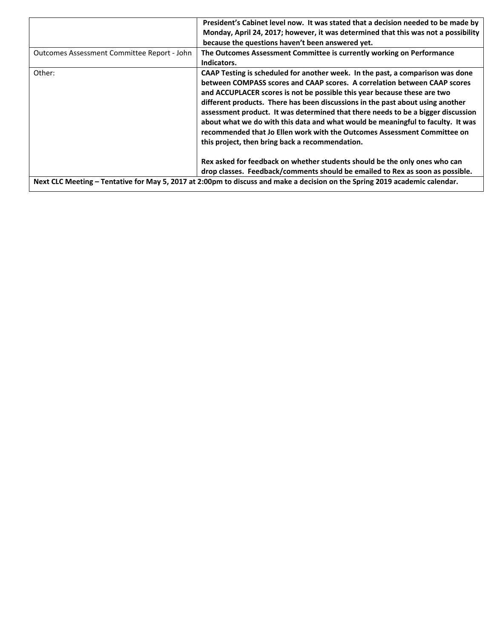|                                             | President's Cabinet level now. It was stated that a decision needed to be made by                                           |
|---------------------------------------------|-----------------------------------------------------------------------------------------------------------------------------|
|                                             | Monday, April 24, 2017; however, it was determined that this was not a possibility                                          |
|                                             | because the questions haven't been answered yet.                                                                            |
| Outcomes Assessment Committee Report - John | The Outcomes Assessment Committee is currently working on Performance                                                       |
|                                             | Indicators.                                                                                                                 |
| Other:                                      | CAAP Testing is scheduled for another week. In the past, a comparison was done                                              |
|                                             | between COMPASS scores and CAAP scores. A correlation between CAAP scores                                                   |
|                                             | and ACCUPLACER scores is not be possible this year because these are two                                                    |
|                                             | different products. There has been discussions in the past about using another                                              |
|                                             | assessment product. It was determined that there needs to be a bigger discussion                                            |
|                                             | about what we do with this data and what would be meaningful to faculty. It was                                             |
|                                             | recommended that Jo Ellen work with the Outcomes Assessment Committee on                                                    |
|                                             | this project, then bring back a recommendation.                                                                             |
|                                             |                                                                                                                             |
|                                             | Rex asked for feedback on whether students should be the only ones who can                                                  |
|                                             | drop classes. Feedback/comments should be emailed to Rex as soon as possible.                                               |
|                                             | Next CLC Meeting - Tentative for May 5, 2017 at 2:00pm to discuss and make a decision on the Spring 2019 academic calendar. |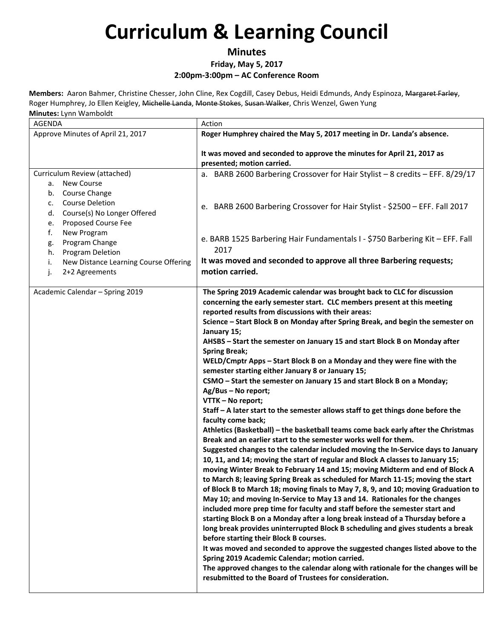#### **Minutes**

#### **Friday, May 5, 2017**

#### **2:00pm‐3:00pm – AC Conference Room**

| AGENDA                                                                                                                                                                                                                                                                                         | Action                                                                                                                                                                                                                                                                                                                                                                                                                                                                                                                                                                                                                                                                                                                                                                                                                                                                                                                                                                                                                                                                                                                                                                                                                                                                                                                                                                                                                                                                                                                                                                                                                                                                                                                                                                                                                                                                                                                                                                                                                                     |
|------------------------------------------------------------------------------------------------------------------------------------------------------------------------------------------------------------------------------------------------------------------------------------------------|--------------------------------------------------------------------------------------------------------------------------------------------------------------------------------------------------------------------------------------------------------------------------------------------------------------------------------------------------------------------------------------------------------------------------------------------------------------------------------------------------------------------------------------------------------------------------------------------------------------------------------------------------------------------------------------------------------------------------------------------------------------------------------------------------------------------------------------------------------------------------------------------------------------------------------------------------------------------------------------------------------------------------------------------------------------------------------------------------------------------------------------------------------------------------------------------------------------------------------------------------------------------------------------------------------------------------------------------------------------------------------------------------------------------------------------------------------------------------------------------------------------------------------------------------------------------------------------------------------------------------------------------------------------------------------------------------------------------------------------------------------------------------------------------------------------------------------------------------------------------------------------------------------------------------------------------------------------------------------------------------------------------------------------------|
| Approve Minutes of April 21, 2017                                                                                                                                                                                                                                                              | Roger Humphrey chaired the May 5, 2017 meeting in Dr. Landa's absence.                                                                                                                                                                                                                                                                                                                                                                                                                                                                                                                                                                                                                                                                                                                                                                                                                                                                                                                                                                                                                                                                                                                                                                                                                                                                                                                                                                                                                                                                                                                                                                                                                                                                                                                                                                                                                                                                                                                                                                     |
|                                                                                                                                                                                                                                                                                                | It was moved and seconded to approve the minutes for April 21, 2017 as<br>presented; motion carried.                                                                                                                                                                                                                                                                                                                                                                                                                                                                                                                                                                                                                                                                                                                                                                                                                                                                                                                                                                                                                                                                                                                                                                                                                                                                                                                                                                                                                                                                                                                                                                                                                                                                                                                                                                                                                                                                                                                                       |
| Curriculum Review (attached)                                                                                                                                                                                                                                                                   | a. BARB 2600 Barbering Crossover for Hair Stylist - 8 credits - EFF. 8/29/17                                                                                                                                                                                                                                                                                                                                                                                                                                                                                                                                                                                                                                                                                                                                                                                                                                                                                                                                                                                                                                                                                                                                                                                                                                                                                                                                                                                                                                                                                                                                                                                                                                                                                                                                                                                                                                                                                                                                                               |
| <b>New Course</b><br>а.<br>Course Change<br>b.<br><b>Course Deletion</b><br>c.<br>Course(s) No Longer Offered<br>d.<br>Proposed Course Fee<br>e.<br>f.<br>New Program<br>Program Change<br>g.<br>Program Deletion<br>h.<br>New Distance Learning Course Offering<br>i.<br>2+2 Agreements<br>j. | e. BARB 2600 Barbering Crossover for Hair Stylist - \$2500 - EFF. Fall 2017<br>e. BARB 1525 Barbering Hair Fundamentals I - \$750 Barbering Kit - EFF. Fall<br>2017<br>It was moved and seconded to approve all three Barbering requests;<br>motion carried.                                                                                                                                                                                                                                                                                                                                                                                                                                                                                                                                                                                                                                                                                                                                                                                                                                                                                                                                                                                                                                                                                                                                                                                                                                                                                                                                                                                                                                                                                                                                                                                                                                                                                                                                                                               |
| Academic Calendar - Spring 2019                                                                                                                                                                                                                                                                | The Spring 2019 Academic calendar was brought back to CLC for discussion<br>concerning the early semester start. CLC members present at this meeting<br>reported results from discussions with their areas:<br>Science - Start Block B on Monday after Spring Break, and begin the semester on<br>January 15;<br>AHSBS - Start the semester on January 15 and start Block B on Monday after<br><b>Spring Break;</b><br>WELD/Cmptr Apps - Start Block B on a Monday and they were fine with the<br>semester starting either January 8 or January 15;<br>CSMO - Start the semester on January 15 and start Block B on a Monday;<br>Ag/Bus - No report;<br>VTTK - No report;<br>Staff - A later start to the semester allows staff to get things done before the<br>faculty come back;<br>Athletics (Basketball) - the basketball teams come back early after the Christmas<br>Break and an earlier start to the semester works well for them.<br>Suggested changes to the calendar included moving the In-Service days to January<br>10, 11, and 14; moving the start of regular and Block A classes to January 15;<br>moving Winter Break to February 14 and 15; moving Midterm and end of Block A<br>to March 8; leaving Spring Break as scheduled for March 11-15; moving the start<br>of Block B to March 18; moving finals to May 7, 8, 9, and 10; moving Graduation to<br>May 10; and moving In-Service to May 13 and 14. Rationales for the changes<br>included more prep time for faculty and staff before the semester start and<br>starting Block B on a Monday after a long break instead of a Thursday before a<br>long break provides uninterrupted Block B scheduling and gives students a break<br>before starting their Block B courses.<br>It was moved and seconded to approve the suggested changes listed above to the<br>Spring 2019 Academic Calendar; motion carried.<br>The approved changes to the calendar along with rationale for the changes will be<br>resubmitted to the Board of Trustees for consideration. |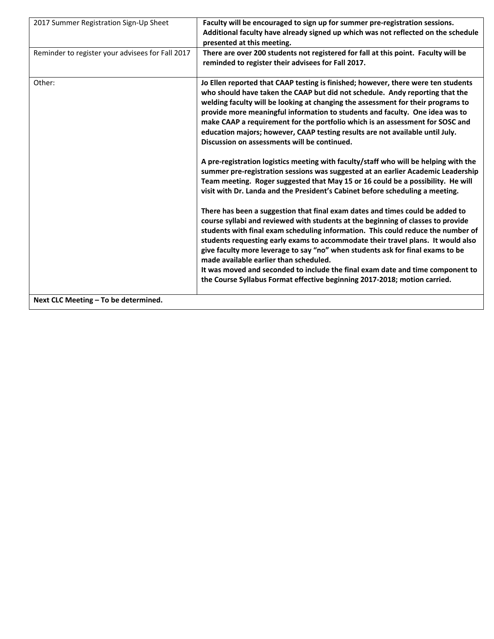| 2017 Summer Registration Sign-Up Sheet           | Faculty will be encouraged to sign up for summer pre-registration sessions.<br>Additional faculty have already signed up which was not reflected on the schedule<br>presented at this meeting.                                                                                                                                                                                                                                                                                                                                                                                                                                                  |
|--------------------------------------------------|-------------------------------------------------------------------------------------------------------------------------------------------------------------------------------------------------------------------------------------------------------------------------------------------------------------------------------------------------------------------------------------------------------------------------------------------------------------------------------------------------------------------------------------------------------------------------------------------------------------------------------------------------|
| Reminder to register your advisees for Fall 2017 | There are over 200 students not registered for fall at this point. Faculty will be<br>reminded to register their advisees for Fall 2017.                                                                                                                                                                                                                                                                                                                                                                                                                                                                                                        |
| Other:                                           | Jo Ellen reported that CAAP testing is finished; however, there were ten students<br>who should have taken the CAAP but did not schedule. Andy reporting that the<br>welding faculty will be looking at changing the assessment for their programs to<br>provide more meaningful information to students and faculty. One idea was to<br>make CAAP a requirement for the portfolio which is an assessment for SOSC and<br>education majors; however, CAAP testing results are not available until July.<br>Discussion on assessments will be continued.<br>A pre-registration logistics meeting with faculty/staff who will be helping with the |
|                                                  | summer pre-registration sessions was suggested at an earlier Academic Leadership<br>Team meeting. Roger suggested that May 15 or 16 could be a possibility. He will<br>visit with Dr. Landa and the President's Cabinet before scheduling a meeting.                                                                                                                                                                                                                                                                                                                                                                                            |
|                                                  | There has been a suggestion that final exam dates and times could be added to<br>course syllabi and reviewed with students at the beginning of classes to provide<br>students with final exam scheduling information. This could reduce the number of<br>students requesting early exams to accommodate their travel plans. It would also<br>give faculty more leverage to say "no" when students ask for final exams to be<br>made available earlier than scheduled.                                                                                                                                                                           |
|                                                  | It was moved and seconded to include the final exam date and time component to<br>the Course Syllabus Format effective beginning 2017-2018; motion carried.                                                                                                                                                                                                                                                                                                                                                                                                                                                                                     |
| Next CLC Meeting - To be determined.             |                                                                                                                                                                                                                                                                                                                                                                                                                                                                                                                                                                                                                                                 |